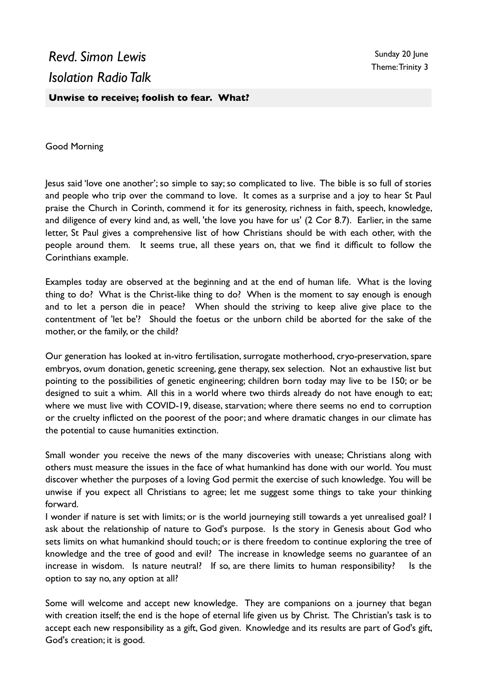## *Revd. Simon Lewis Isolation Radio Talk*

**Unwise to receive; foolish to fear. What?**

Good Morning

Jesus said 'love one another'; so simple to say; so complicated to live. The bible is so full of stories and people who trip over the command to love. It comes as a surprise and a joy to hear St Paul praise the Church in Corinth, commend it for its generosity, richness in faith, speech, knowledge, and diligence of every kind and, as well, 'the love you have for us' (2 Cor 8.7). Earlier, in the same letter, St Paul gives a comprehensive list of how Christians should be with each other, with the people around them. It seems true, all these years on, that we find it difficult to follow the Corinthians example.

Examples today are observed at the beginning and at the end of human life. What is the loving thing to do? What is the Christ-like thing to do? When is the moment to say enough is enough and to let a person die in peace? When should the striving to keep alive give place to the contentment of 'let be'? Should the foetus or the unborn child be aborted for the sake of the mother, or the family, or the child?

Our generation has looked at in-vitro fertilisation, surrogate motherhood, cryo-preservation, spare embryos, ovum donation, genetic screening, gene therapy, sex selection. Not an exhaustive list but pointing to the possibilities of genetic engineering; children born today may live to be 150; or be designed to suit a whim. All this in a world where two thirds already do not have enough to eat; where we must live with COVID-19, disease, starvation; where there seems no end to corruption or the cruelty inflicted on the poorest of the poor; and where dramatic changes in our climate has the potential to cause humanities extinction.

Small wonder you receive the news of the many discoveries with unease; Christians along with others must measure the issues in the face of what humankind has done with our world. You must discover whether the purposes of a loving God permit the exercise of such knowledge. You will be unwise if you expect all Christians to agree; let me suggest some things to take your thinking forward.

I wonder if nature is set with limits; or is the world journeying still towards a yet unrealised goal? I ask about the relationship of nature to God's purpose. Is the story in Genesis about God who sets limits on what humankind should touch; or is there freedom to continue exploring the tree of knowledge and the tree of good and evil? The increase in knowledge seems no guarantee of an increase in wisdom. Is nature neutral? If so, are there limits to human responsibility? Is the option to say no, any option at all?

Some will welcome and accept new knowledge. They are companions on a journey that began with creation itself; the end is the hope of eternal life given us by Christ. The Christian's task is to accept each new responsibility as a gift, God given. Knowledge and its results are part of God's gift, God's creation; it is good.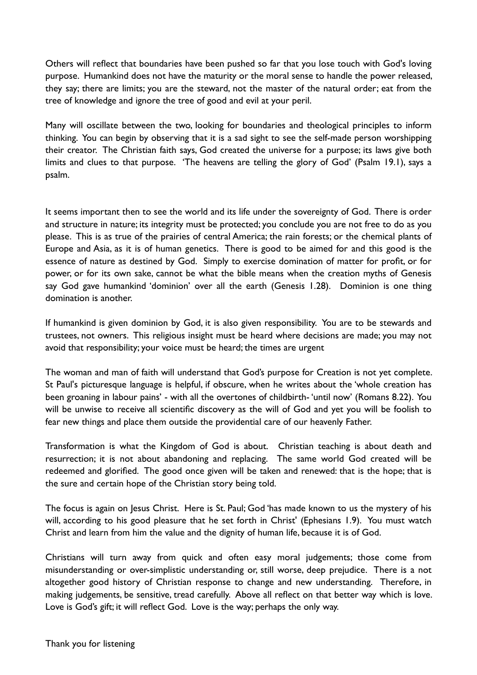Others will reflect that boundaries have been pushed so far that you lose touch with God's loving purpose. Humankind does not have the maturity or the moral sense to handle the power released, they say; there are limits; you are the steward, not the master of the natural order; eat from the tree of knowledge and ignore the tree of good and evil at your peril.

Many will oscillate between the two, looking for boundaries and theological principles to inform thinking. You can begin by observing that it is a sad sight to see the self-made person worshipping their creator. The Christian faith says, God created the universe for a purpose; its laws give both limits and clues to that purpose. 'The heavens are telling the glory of God' (Psalm 19.1), says a psalm.

It seems important then to see the world and its life under the sovereignty of God. There is order and structure in nature; its integrity must be protected; you conclude you are not free to do as you please. This is as true of the prairies of central America; the rain forests; or the chemical plants of Europe and Asia, as it is of human genetics. There is good to be aimed for and this good is the essence of nature as destined by God. Simply to exercise domination of matter for profit, or for power, or for its own sake, cannot be what the bible means when the creation myths of Genesis say God gave humankind 'dominion' over all the earth (Genesis 1.28). Dominion is one thing domination is another.

If humankind is given dominion by God, it is also given responsibility. You are to be stewards and trustees, not owners. This religious insight must be heard where decisions are made; you may not avoid that responsibility; your voice must be heard; the times are urgent

The woman and man of faith will understand that God's purpose for Creation is not yet complete. St Paul's picturesque language is helpful, if obscure, when he writes about the 'whole creation has been groaning in labour pains' - with all the overtones of childbirth- 'until now' (Romans 8.22). You will be unwise to receive all scientific discovery as the will of God and yet you will be foolish to fear new things and place them outside the providential care of our heavenly Father.

Transformation is what the Kingdom of God is about. Christian teaching is about death and resurrection; it is not about abandoning and replacing. The same world God created will be redeemed and glorified. The good once given will be taken and renewed: that is the hope; that is the sure and certain hope of the Christian story being told.

The focus is again on Jesus Christ. Here is St. Paul; God 'has made known to us the mystery of his will, according to his good pleasure that he set forth in Christ' (Ephesians 1.9). You must watch Christ and learn from him the value and the dignity of human life, because it is of God.

Christians will turn away from quick and often easy moral judgements; those come from misunderstanding or over-simplistic understanding or, still worse, deep prejudice. There is a not altogether good history of Christian response to change and new understanding. Therefore, in making judgements, be sensitive, tread carefully. Above all reflect on that better way which is love. Love is God's gift; it will reflect God. Love is the way; perhaps the only way.